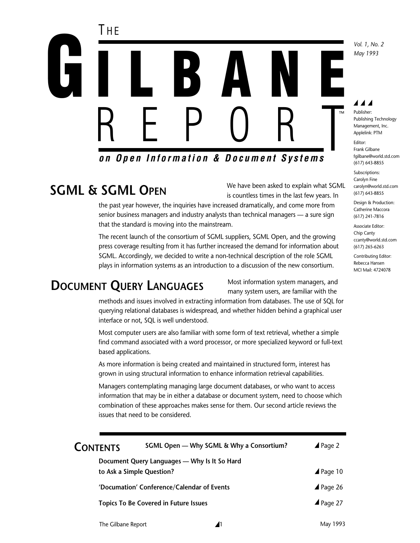

# **SGML & SGML OPEN**

We have been asked to explain what SGML is countless times in the last few years. In

the past year however, the inquiries have increased dramatically, and come more from senior business managers and industry analysts than technical managers — a sure sign that the standard is moving into the mainstream.

The recent launch of the consortium of SGML suppliers, SGML Open, and the growing press coverage resulting from it has further increased the demand for information about SGML. Accordingly, we decided to write a non-technical description of the role SGML plays in information systems as an introduction to a discussion of the new consortium.

# **DOCUMENT QUERY LANGUAGES**

Most information system managers, and many system users, are familiar with the

methods and issues involved in extracting information from databases. The use of SQL for querying relational databases is widespread, and whether hidden behind a graphical user interface or not, SQL is well understood.

Most computer users are also familiar with some form of text retrieval, whether a simple find command associated with a word processor, or more specialized keyword or full-text based applications.

As more information is being created and maintained in structured form, interest has grown in using structural information to enhance information retrieval capabilities.

Managers contemplating managing large document databases, or who want to access information that may be in either a database or document system, need to choose which combination of these approaches makes sense for them. Our second article reviews the issues that need to be considered.

| <b>CONTENTS</b> | SGML Open - Why SGML & Why a Consortium?     | $\triangle$ Page 2  |  |
|-----------------|----------------------------------------------|---------------------|--|
|                 | Document Query Languages - Why Is It So Hard |                     |  |
|                 | to Ask a Simple Question?                    | $\triangle$ Page 10 |  |
|                 | 'Documation' Conference/Calendar of Events   | $\triangle$ Page 26 |  |
|                 | <b>Topics To Be Covered in Future Issues</b> | $\triangle$ Page 27 |  |
|                 |                                              |                     |  |

## ◢◢◢

*Vol. 1, No. 2 May 1993*

Publisher: Publishing Technology Management, Inc. Applelink: PTM Editor: Frank Gilbane fgilbane@world.std.com (617) 643-8855

Subscriptions: Carolyn Fine carolyn@world.std.com (617) 643-8855

Design & Production: Catherine Maccora (617) 241-7816

Associate Editor: Chip Canty ccanty@world.std.com (617) 265-6263

Contributing Editor: Rebecca Hansen MCI Mail: 4724078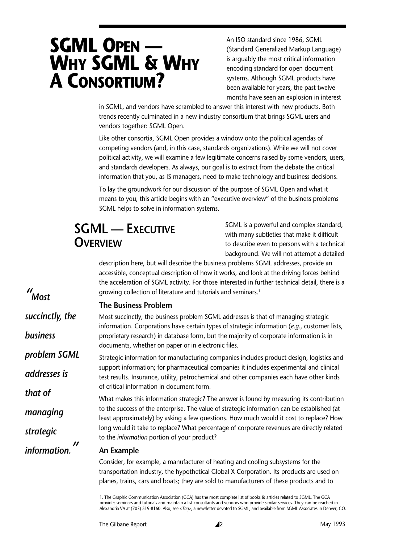# **SGML OPEN — WHY SGML & WHY A CONSORTIUM?**

An ISO standard since 1986, SGML (Standard Generalized Markup Language) is arguably the most critical information encoding standard for open document systems. Although SGML products have been available for years, the past twelve months have seen an explosion in interest

in SGML, and vendors have scrambled to answer this interest with new products. Both trends recently culminated in a new industry consortium that brings SGML users and vendors together: SGML Open.

Like other consortia, SGML Open provides a window onto the political agendas of competing vendors (and, in this case, standards organizations). While we will not cover political activity, we will examine a few legitimate concerns raised by some vendors, users, and standards developers. As always, our goal is to extract from the debate the critical information that you, as IS managers, need to make technology and business decisions.

To lay the groundwork for our discussion of the purpose of SGML Open and what it means to you, this article begins with an "executive overview" of the business problems SGML helps to solve in information systems.

# **SGML — EXECUTIVE OVERVIEW**

SGML is a powerful and complex standard, with many subtleties that make it difficult to describe even to persons with a technical background. We will not attempt a detailed

description here, but will describe the business problems SGML addresses, provide an accessible, conceptual description of how it works, and look at the driving forces behind the acceleration of SGML activity. For those interested in further technical detail, there is a growing collection of literature and tutorials and seminars.<sup>1</sup>

### **The Business Problem**

*" Most*

*that of*

*managing*

*strategic*

*information.*

*"*

Most succinctly, the business problem SGML addresses is that of managing strategic information. Corporations have certain types of strategic information (*e.g*., customer lists, proprietary research) in database form, but the majority of corporate information is in documents, whether on paper or in electronic files. *succinctly, the business*

Strategic information for manufacturing companies includes product design, logistics and support information; for pharmaceutical companies it includes experimental and clinical test results. Insurance, utility, petrochemical and other companies each have other kinds of critical information in document form. *problem SGML addresses is*

> What makes this information strategic? The answer is found by measuring its contribution to the success of the enterprise. The value of strategic information can be established (at least approximately) by asking a few questions. How much would it cost to replace? How long would it take to replace? What percentage of corporate revenues are directly related to the *information* portion of your product?

### **An Example**

Consider, for example, a manufacturer of heating and cooling subsystems for the transportation industry, the hypothetical Global X Corporation. Its products are used on planes, trains, cars and boats; they are sold to manufacturers of these products and to

<sup>1.</sup> The Graphic Communication Association (GCA) has the most complete list of books & articles related to SGML. The GCA provides seminars and tutorials and maintain a list consultants and vendors who provide similar services. They can be reached in Alexandria VA at (703) 519-8160. Also, see <*Tag*>, a newsletter devoted to SGML, and available from SGML Associates in Denver, CO.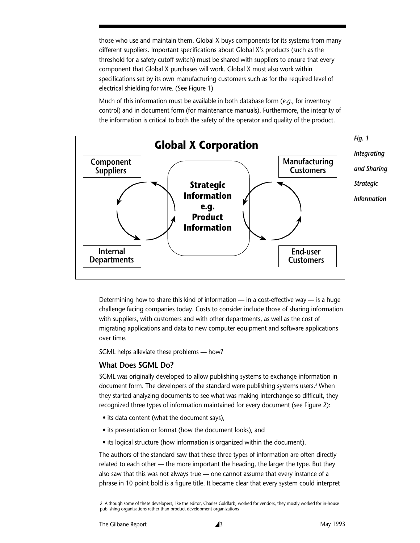those who use and maintain them. Global X buys components for its systems from many different suppliers. Important specifications about Global X's products (such as the threshold for a safety cutoff switch) must be shared with suppliers to ensure that every component that Global X purchases will work. Global X must also work within specifications set by its own manufacturing customers such as for the required level of electrical shielding for wire. (See Figure 1)

Much of this information must be available in both database form (*e.g.*, for inventory control) and in document form (for maintenance manuals). Furthermore, the integrity of the information is critical to both the safety of the operator and quality of the product.



Determining how to share this kind of information — in a cost-effective way — is a huge challenge facing companies today. Costs to consider include those of sharing information with suppliers, with customers and with other departments, as well as the cost of migrating applications and data to new computer equipment and software applications over time.

SGML helps alleviate these problems — how?

### **What Does SGML Do?**

SGML was originally developed to allow publishing systems to exchange information in document form. The developers of the standard were publishing systems users.<sup>2</sup> When they started analyzing documents to see what was making interchange so difficult, they recognized three types of information maintained for every document (see Figure 2):

- its data content (what the document says),
- its presentation or format (how the document looks), and
- its logical structure (how information is organized within the document).

The authors of the standard saw that these three types of information are often directly related to each other — the more important the heading, the larger the type. But they also saw that this was not always true — one cannot assume that every instance of a phrase in 10 point bold is a figure title. It became clear that every system could interpret

<sup>2.</sup> Although some of these developers, like the editor, Charles Goldfarb, worked for vendors, they mostly worked for in-house publishing organizations rather than product development organizations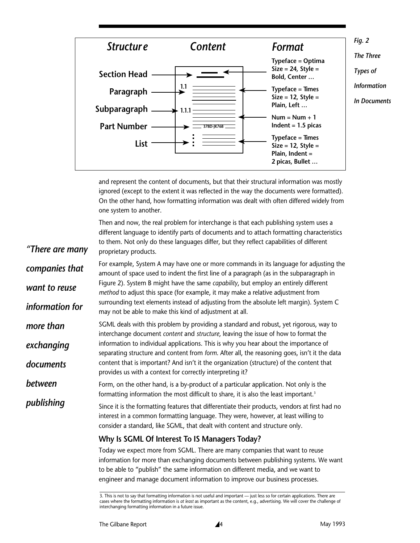

and represent the content of documents, but that their structural information was mostly ignored (except to the extent it was reflected in the way the documents were formatted). On the other hand, how formatting information was dealt with often differed widely from one system to another.

Then and now, the real problem for interchange is that each publishing system uses a different language to identify parts of documents and to attach formatting characteristics to them. Not only do these languages differ, but they reflect capabilities of different proprietary products.

For example, System A may have one or more commands in its language for adjusting the amount of space used to indent the first line of a paragraph (as in the subparagraph in Figure 2). System B might have the same *capability*, but employ an entirely different *method* to adjust this space (for example, it may make a relative adjustment from surrounding text elements instead of adjusting from the absolute left margin). System C may not be able to make this kind of adjustment at all. *companies that want to reuse information for*

SGML deals with this problem by providing a standard and robust, yet rigorous, way to interchange document *content* and *structure*, leaving the issue of how to format the information to individual applications. This is why you hear about the importance of separating structure and content from *form*. After all, the reasoning goes, isn't it the data content that is important? And isn't it the organization (structure) of the content that provides us with a context for correctly interpreting it? *more than exchanging documents*

Form, on the other hand, is a by-product of a particular application. Not only is the formatting information the most difficult to share, it is also the least important.<sup>3</sup> *between*

Since it is the formatting features that differentiate their products, vendors at first had no interest in a common formatting language. They were, however, at least willing to consider a standard, like SGML, that dealt with content and structure only. *publishing*

### **Why Is SGML Of Interest To IS Managers Today?**

Today we expect more from SGML. There are many companies that want to reuse information for more than exchanging documents between publishing systems. We want to be able to "publish" the same information on different media, and we want to engineer and manage document information to improve our business processes.

*"There are many*

<sup>3.</sup> This is not to say that formatting information is not useful and important — just less so for certain applications. There are cases where the formatting information is *at least* as important as the content, e.g., advertising. We will cover the challenge of interchanging formatting information in a future issue.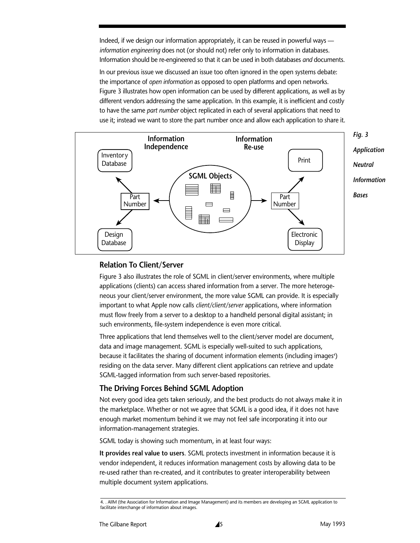Indeed, if we design our information appropriately, it can be reused in powerful ways *information engineering* does not (or should not) refer only to information in databases. Information should be re-engineered so that it can be used in both databases *and* documents.

In our previous issue we discussed an issue too often ignored in the open systems debate: the importance of *open information* as opposed to open platforms and open networks. Figure 3 illustrates how open information can be used by different applications, as well as by different vendors addressing the same application. In this example, it is inefficient and costly to have the same *part number* object replicated in each of several applications that need to use it; instead we want to store the part number once and allow each application to share it.



### **Relation To Client/Server**

Figure 3 also illustrates the role of SGML in client/server environments, where multiple applications (clients) can access shared information from a server. The more heterogeneous your client/server environment, the more value SGML can provide. It is especially important to what Apple now calls *client/client/server* applications, where information must flow freely from a server to a desktop to a handheld personal digital assistant; in such environments, file-system independence is even more critical.

Three applications that lend themselves well to the client/server model are document, data and image management. SGML is especially well-suited to such applications, because it facilitates the sharing of document information elements (including images') residing on the data server. Many different client applications can retrieve and update SGML-tagged information from such server-based repositories.

### **The Driving Forces Behind SGML Adoption**

Not every good idea gets taken seriously, and the best products do not always make it in the marketplace. Whether or not we agree that SGML is a good idea, if it does not have enough market momentum behind it we may not feel safe incorporating it into our information-management strategies.

SGML today is showing such momentum, in at least four ways:

**It provides real value to users**. SGML protects investment in information because it is vendor independent, it reduces information management costs by allowing data to be re-used rather than re-created, and it contributes to greater interoperability between multiple document system applications.

<sup>4. .</sup> AIIM (the Association for Information and Image Management) and its members are developing an SGML application to facilitate interchange of information about images.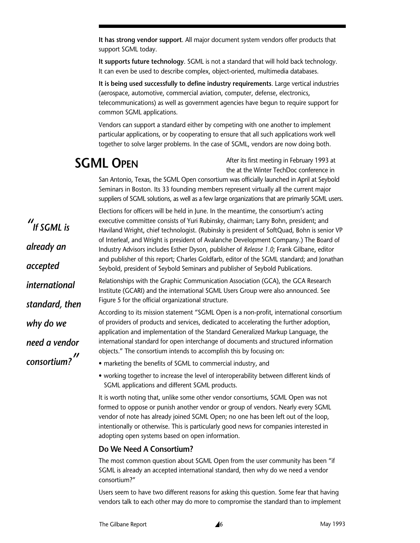**It has strong vendor support**. All major document system vendors offer products that support SGML today.

**It supports future technology**. SGML is not a standard that will hold back technology. It can even be used to describe complex, object-oriented, multimedia databases.

**It is being used successfully to define industry requirements**. Large vertical industries (aerospace, automotive, commercial aviation, computer, defense, electronics, telecommunications) as well as government agencies have begun to require support for common SGML applications.

Vendors can support a standard either by competing with one another to implement particular applications, or by cooperating to ensure that all such applications work well together to solve larger problems. In the case of SGML, vendors are now doing both.

## **SGML OPEN**

*" If SGML is*

*already an*

*accepted*

*international*

*why do we*

*need a vendor*

*consortium? "*

After its first meeting in February 1993 at the at the Winter TechDoc conference in

San Antonio, Texas, the SGML Open consortium was officially launched in April at Seybold Seminars in Boston. Its 33 founding members represent virtually all the current major suppliers of SGML solutions, as well as a few large organizations that are primarily SGML users.

Elections for officers will be held in June. In the meantime, the consortium's acting executive committee consists of Yuri Rubinsky, chairman; Larry Bohn, president; and Haviland Wright, chief technologist. (Rubinsky is president of SoftQuad, Bohn is senior VP of Interleaf, and Wright is president of Avalanche Development Company.) The Board of Industry Advisors includes Esther Dyson, publisher of *Release 1.0*; Frank Gilbane, editor and publisher of this report; Charles Goldfarb, editor of the SGML standard; and Jonathan Seybold, president of Seybold Seminars and publisher of Seybold Publications.

Relationships with the Graphic Communication Association (GCA), the GCA Research Institute (GCARI) and the international SGML Users Group were also announced. See Figure 5 for the official organizational structure. *standard, then*

> According to its mission statement "SGML Open is a non-profit, international consortium of providers of products and services, dedicated to accelerating the further adoption, application and implementation of the Standard Generalized Markup Language, the international standard for open interchange of documents and structured information objects." The consortium intends to accomplish this by focusing on:

- marketing the benefits of SGML to commercial industry, and
- working together to increase the level of interoperability between different kinds of SGML applications and different SGML products.

It is worth noting that, unlike some other vendor consortiums, SGML Open was not formed to oppose or punish another vendor or group of vendors. Nearly every SGML vendor of note has already joined SGML Open; no one has been left out of the loop, intentionally or otherwise. This is particularly good news for companies interested in adopting open systems based on open information.

### **Do We Need A Consortium?**

The most common question about SGML Open from the user community has been "if SGML is already an accepted international standard, then why do we need a vendor consortium?"

Users seem to have two different reasons for asking this question. Some fear that having vendors talk to each other may do more to compromise the standard than to implement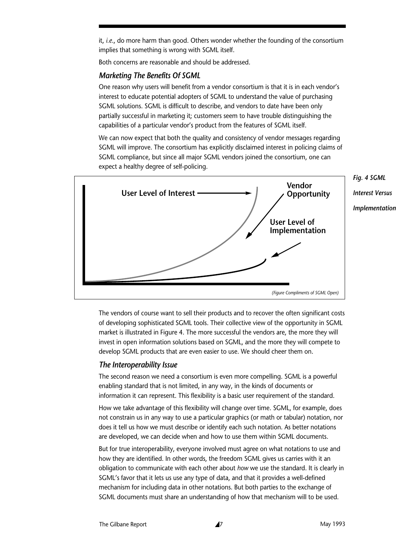it, *i.e*., do more harm than good. Others wonder whether the founding of the consortium implies that something is wrong with SGML itself.

Both concerns are reasonable and should be addressed.

#### *Marketing The Benefits Of SGML*

One reason why users will benefit from a vendor consortium is that it is in each vendor's interest to educate potential adopters of SGML to understand the value of purchasing SGML solutions. SGML is difficult to describe, and vendors to date have been only partially successful in marketing it; customers seem to have trouble distinguishing the capabilities of a particular vendor's product from the features of SGML itself.

We can now expect that both the quality and consistency of vendor messages regarding SGML will improve. The consortium has explicitly disclaimed interest in policing claims of SGML compliance, but since all major SGML vendors joined the consortium, one can expect a healthy degree of self-policing.



The vendors of course want to sell their products and to recover the often significant costs of developing sophisticated SGML tools. Their collective view of the opportunity in SGML market is illustrated in Figure 4. The more successful the vendors are, the more they will invest in open information solutions based on SGML, and the more they will compete to develop SGML products that are even easier to use. We should cheer them on.

#### *The Interoperability Issue*

The second reason we need a consortium is even more compelling. SGML is a powerful enabling standard that is not limited, in any way, in the kinds of documents or information it can represent. This flexibility is a basic user requirement of the standard.

How we take advantage of this flexibility will change over time. SGML, for example, does not constrain us in any way to use a particular graphics (or math or tabular) notation, nor does it tell us how we must describe or identify each such notation. As better notations are developed, we can decide when and how to use them within SGML documents.

But for true interoperability, everyone involved must agree on what notations to use and how they are identified. In other words, the freedom SGML gives us carries with it an obligation to communicate with each other about *how* we use the standard. It is clearly in SGML's favor that it lets us use any type of data, and that it provides a well-defined mechanism for including data in other notations. But both parties to the exchange of SGML documents must share an understanding of how that mechanism will to be used.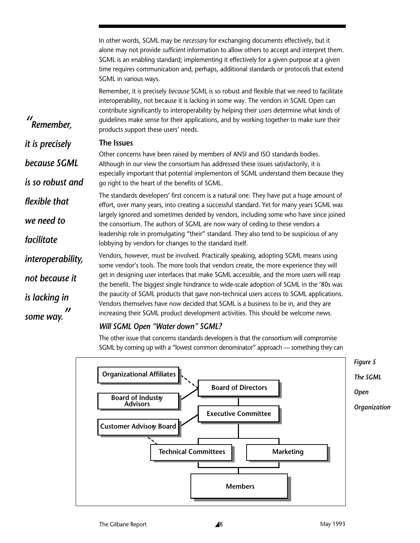In other words, SGML may be *necessary* for exchanging documents effectively, but it alone may not provide *sufficient* information to allow others to accept and interpret them. SGML is an enabling standard; implementing it effectively for a given purpose at a given time requires communication and, perhaps, additional standards or protocols that extend SGML in various ways.

Remember, it is precisely *because* SGML is so robust and flexible that we need to facilitate interoperability, not because it is lacking in some way. The vendors in SGML Open can contribute significantly to interoperability by helping their *users* determine what kinds of guidelines make sense for their applications, and by working together to make sure their products support these users' needs.

#### **The Issues**

*" Remember,* 

*it is precisely*

*because SGML*

*is so robust and*

*we need to*

*not because it*

*is lacking in*

*some way.*

*"*

*facilitate*

Other concerns have been raised by members of ANSI and ISO standards bodies. Although in our view the consortium has addressed these issues satisfactorily, it is especially important that potential implementors of SGML understand them because they go right to the heart of the benefits of SGML.

The standards developers' first concern is a natural one. They have put a huge amount of effort, over many years, into creating a successful standard. Yet for many years SGML was largely ignored and sometimes derided by vendors, including some who have since joined the consortium. The authors of SGML are now wary of ceding to these vendors a leadership role in promulgating "their" standard. They also tend to be suspicious of any lobbying by vendors for changes to the standard itself. *flexible that* 

Vendors, however, must be involved. Practically speaking, adopting SGML means using some vendor's tools. The more tools that vendors create, the more experience they will get in designing user interfaces that make SGML accessible, and the more users will reap the benefit. The biggest single hindrance to wide-scale adoption of SGML in the '80s was the paucity of SGML products that gave non-technical users access to SGML applications. Vendors themselves have now decided that SGML is a business to be in, and they are increasing their SGML product development activities. This should be welcome news. *interoperability,*

### *Will SGML Open "Water down" SGML?*

The other issue that concerns standards developers is that the consortium will compromise SGML by coming up with a "lowest common denominator" approach — something they can

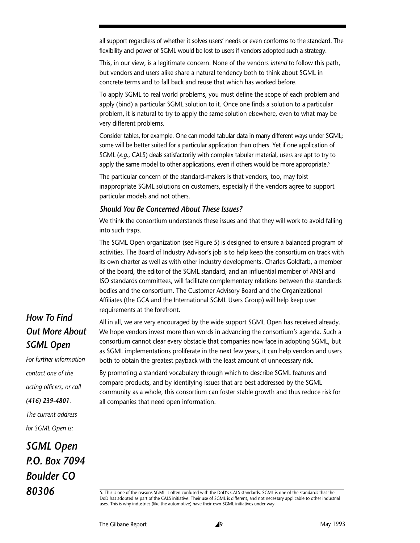all support regardless of whether it solves users' needs or even conforms to the standard. The flexibility and power of SGML would be lost to users if vendors adopted such a strategy.

This, in our view, is a legitimate concern. None of the vendors *intend* to follow this path, but vendors and users alike share a natural tendency both to think about SGML in concrete terms and to fall back and reuse that which has worked before.

To apply SGML to real world problems, you must define the scope of each problem and apply (bind) a particular SGML solution to it. Once one finds a solution to a particular problem, it is natural to try to apply the same solution elsewhere, even to what may be very different problems.

Consider tables, for example. One can model tabular data in many different ways under SGML; some will be better suited for a particular application than others. Yet if one application of SGML (*e.g*., CALS) deals satisfactorily with complex tabular material, users are apt to try to apply the same model to other applications, even if others would be more appropriate.<sup>5</sup>

The particular concern of the standard-makers is that vendors, too, may foist inappropriate SGML solutions on customers, especially if the vendors agree to support particular models and not others.

### *Should You Be Concerned About These Issues?*

We think the consortium understands these issues and that they will work to avoid falling into such traps.

The SGML Open organization (see Figure 5) is designed to ensure a balanced program of activities. The Board of Industry Advisor's job is to help keep the consortium on track with its own charter as well as with other industry developments. Charles Goldfarb, a member of the board, the editor of the SGML standard, and an influential member of ANSI and ISO standards committees, will facilitate complementary relations between the standards bodies and the consortium. The Customer Advisory Board and the Organizational Affiliates (the GCA and the International SGML Users Group) will help keep user requirements at the forefront.

*How To Find Out More About SGML Open*

*For further information contact one of the acting officers, or call (416) 239-4801.* 

*The current address for SGML Open is:*

*SGML Open P.O. Box 7094 Boulder CO 80306*

All in all, we are very encouraged by the wide support SGML Open has received already. We hope vendors invest more than words in advancing the consortium's agenda. Such a consortium cannot clear every obstacle that companies now face in adopting SGML, but as SGML implementations proliferate in the next few years, it can help vendors and users both to obtain the greatest payback with the least amount of unnecessary risk.

By promoting a standard vocabulary through which to describe SGML features and compare products, and by identifying issues that are best addressed by the SGML community as a whole, this consortium can foster stable growth and thus reduce risk for all companies that need open information.

<sup>5.</sup> This is one of the reasons SGML is often confused with the DoD's CALS standards. SGML is one of the standards that the DoD has adopted as part of the CALS initiative. Their use of SGML is different, and not necessary applicable to other industrial uses. This is why industries (like the automotive) have their own SGML initiatives under way.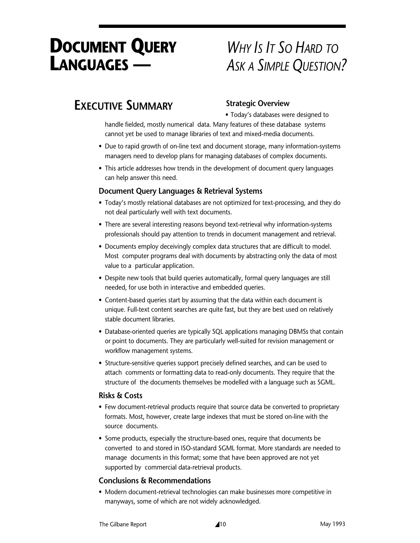# **DOCUMENT QUERY LANGUAGES —**

# *WHY IS IT SO HARD TO ASK A SIMPLE QUESTION?*

# **EXECUTIVE SUMMARY**

## **Strategic Overview**

• Today's databases were designed to

handle fielded, mostly numerical data. Many features of these database systems cannot yet be used to manage libraries of text and mixed-media documents.

- Due to rapid growth of on-line text and document storage, many information-systems managers need to develop plans for managing databases of complex documents.
- This article addresses how trends in the development of document query languages can help answer this need.

### **Document Query Languages & Retrieval Systems**

- Today's mostly relational databases are not optimized for text-processing, and they do not deal particularly well with text documents.
- There are several interesting reasons beyond text-retrieval why information-systems professionals should pay attention to trends in document management and retrieval.
- Documents employ deceivingly complex data structures that are difficult to model. Most computer programs deal with documents by abstracting only the data of most value to a particular application.
- Despite new tools that build queries automatically, formal query languages are still needed, for use both in interactive and embedded queries.
- Content-based queries start by assuming that the data within each document is unique. Full-text content searches are quite fast, but they are best used on relatively stable document libraries.
- Database-oriented queries are typically SQL applications managing DBMSs that contain or point to documents. They are particularly well-suited for revision management or workflow management systems.
- Structure-sensitive queries support precisely defined searches, and can be used to attach comments or formatting data to read-only documents. They require that the structure of the documents themselves be modelled with a language such as SGML.

### **Risks & Costs**

- Few document-retrieval products require that source data be converted to proprietary formats. Most, however, create large indexes that must be stored on-line with the source documents.
- Some products, especially the structure-based ones, require that documents be converted to and stored in ISO-standard SGML format. More standards are needed to manage documents in this format; some that have been approved are not yet supported by commercial data-retrieval products.

## **Conclusions & Recommendations**

• Modern document-retrieval technologies can make businesses more competitive in manyways, some of which are not widely acknowledged.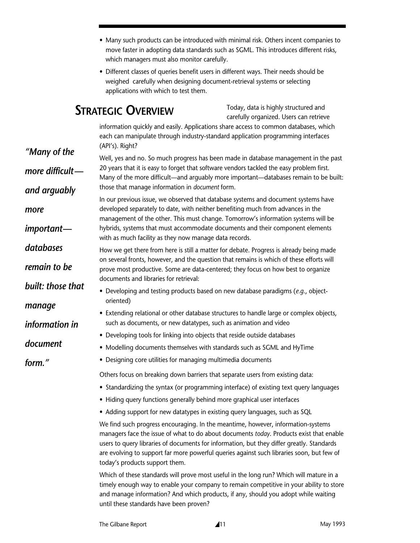- Many such products can be introduced with minimal risk. Others incent companies to move faster in adopting data standards such as SGML. This introduces different risks, which managers must also monitor carefully.
- Different classes of queries benefit users in different ways. Their needs should be weighed carefully when designing document-retrieval systems or selecting applications with which to test them.

# **STRATEGIC OVERVIEW**

*more*

*databases*

*manage*

*document*

*form."*

*information in*

Today, data is highly structured and carefully organized. Users can retrieve

information quickly and easily. Applications share access to common databases, which each can manipulate through industry-standard application programming interfaces (API's). Right?

Well, yes and no. So much progress has been made in database management in the past 20 years that it is easy to forget that software vendors tackled the easy problem first. Many of the more difficult—and arguably more important—databases remain to be built: those that manage information in *document* form. *"Many of the more difficult and arguably*

In our previous issue, we observed that database systems and document systems have developed separately to date, with neither benefiting much from advances in the management of the other. This must change. Tomorrow's information systems will be hybrids, systems that must accommodate documents and their component elements with as much facility as they now manage data records. *important—*

How we get there from here is still a matter for debate. Progress is already being made on several fronts, however, and the question that remains is which of these efforts will prove most productive. Some are data-centered; they focus on how best to organize documents and libraries for retrieval: *remain to be built: those that*

- Developing and testing products based on new database paradigms (*e.g*., objectoriented)
- Extending relational or other database structures to handle large or complex objects, such as documents, or new datatypes, such as animation and video
- Developing tools for linking into objects that reside outside databases
- Modelling documents themselves with standards such as SGML and HyTime
- Designing core utilities for managing multimedia documents

Others focus on breaking down barriers that separate users from existing data:

- Standardizing the syntax (or programming interface) of existing text query languages
- Hiding query functions generally behind more graphical user interfaces
- Adding support for new datatypes in existing query languages, such as SQL

We find such progress encouraging. In the meantime, however, information-systems managers face the issue of what to do about documents *today*. Products exist that enable users to query libraries of documents for information, but they differ greatly. Standards are evolving to support far more powerful queries against such libraries soon, but few of today's products support them.

Which of these standards will prove most useful in the long run? Which will mature in a timely enough way to enable your company to remain competitive in your ability to store and manage information? And which products, if any, should you adopt while waiting until these standards have been proven?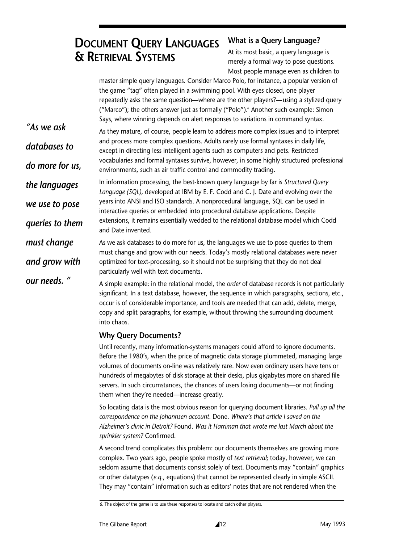# **DOCUMENT QUERY LANGUAGES & RETRIEVAL SYSTEMS**

## **What is a Query Language?**

At its most basic, a query language is merely a formal way to pose questions. Most people manage even as children to

master simple query languages. Consider Marco Polo, for instance, a popular version of the game "tag" often played in a swimming pool. With eyes closed, one player repeatedly asks the same question—where are the other players?—using a stylized query ("Marco"); the others answer just as formally ("Polo").<sup>6</sup> Another such example: Simon Says, where winning depends on alert responses to variations in command syntax.

As they mature, of course, people learn to address more complex issues and to interpret and process more complex questions. Adults rarely use formal syntaxes in daily life, except in directing less intelligent agents such as computers and pets. Restricted vocabularies and formal syntaxes survive, however, in some highly structured professional environments, such as air traffic control and commodity trading. *"As we ask databases to do more for us,*

In information processing, the best-known query language by far is *Structured Query Language (SQL)*, developed at IBM by E. F. Codd and C. J. Date and evolving over the years into ANSI and ISO standards. A nonprocedural language, SQL can be used in interactive queries or embedded into procedural database applications. Despite extensions, it remains essentially wedded to the relational database model which Codd and Date invented. *the languages we use to pose queries to them*

As we ask databases to do more for us, the languages we use to pose queries to them must change and grow with our needs. Today's mostly relational databases were never optimized for text-processing, so it should not be surprising that they do not deal particularly well with text documents. *must change and grow with*

> A simple example: in the relational model, the *order* of database records is not particularly significant. In a text database, however, the sequence in which paragraphs, sections, etc., occur is of considerable importance, and tools are needed that can add, delete, merge, copy and split paragraphs, for example, without throwing the surrounding document into chaos.

### **Why Query Documents?**

*our needs. "*

Until recently, many information-systems managers could afford to ignore documents. Before the 1980's, when the price of magnetic data storage plummeted, managing large volumes of documents on-line was relatively rare. Now even ordinary users have tens or hundreds of megabytes of disk storage at their desks, plus gigabytes more on shared file servers. In such circumstances, the chances of users losing documents—or not finding them when they're needed—increase greatly.

So locating data is the most obvious reason for querying document libraries. *Pull up all the correspondence on the Johannsen account.* Done. *Where's that article I saved on the Alzheimer's clinic in Detroit?* Found. *Was it Harriman that wrote me last March about the sprinkler system?* Confirmed.

A second trend complicates this problem: our documents themselves are growing more complex. Two years ago, people spoke mostly of *text retrieval*; today, however, we can seldom assume that documents consist solely of text. Documents may "contain" graphics or other datatypes (*e.q.*, equations) that cannot be represented clearly in simple ASCII. They may "contain" information such as editors' notes that are not rendered when the

<sup>6.</sup> The object of the game is to use these responses to locate and catch other players.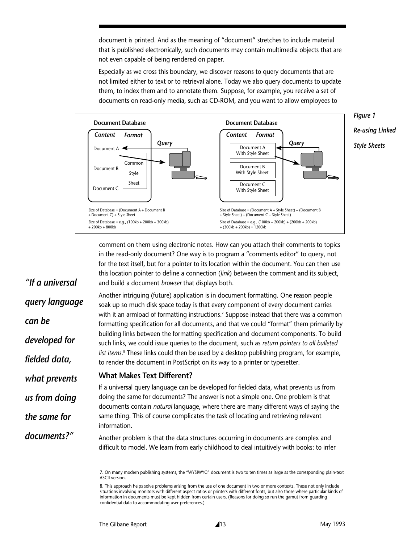document is printed. And as the meaning of "document" stretches to include material that is published electronically, such documents may contain multimedia objects that are not even capable of being rendered on paper.

Especially as we cross this boundary, we discover reasons to query documents that are not limited either to text or to retrieval alone. Today we also query documents to update them, to index them and to annotate them. Suppose, for example, you receive a set of documents on read-only media, such as CD-ROM, and you want to allow employees to



comment on them using electronic notes. How can you attach their comments to topics in the read-only document? One way is to program a "comments editor" to query, not for the text itself, but for a pointer to its location within the document. You can then use this location pointer to define a connection (*link*) between the comment and its subject, and build a document *browser* that displays both.

Another intriguing (future) application is in document formatting. One reason people soak up so much disk space today is that every component of every document carries with it an armload of formatting instructions.<sup>7</sup> Suppose instead that there was a common formatting specification for all documents, and that we could "format" them primarily by building links between the formatting specification and document components. To build such links, we could issue queries to the document, such as *return pointers to all bulleted list items*. <sup>8</sup> These links could then be used by a desktop publishing program, for example, to render the document in PostScript on its way to a printer or typesetter. *query language*

#### **What Makes Text Different?** *what prevents*

*"If a universal*

*developed for*

*fielded data,*

*us from doing*

*the same for*

*documents?"*

*can be*

If a universal query language can be developed for fielded data, what prevents us from doing the same for documents? The answer is not a simple one. One problem is that documents contain *natural* language, where there are many different ways of saying the same thing. This of course complicates the task of locating and retrieving relevant information.

Another problem is that the data structures occurring in documents are complex and difficult to model. We learn from early childhood to deal intuitively with books: to infer

<sup>7.</sup> On many modern publishing systems, the "WYSIWYG" document is two to ten times as large as the corresponding plain-text ASCII version.

<sup>8.</sup> This approach helps solve problems arising from the use of one document in two or more contexts. These not only include situations involving monitors with different aspect ratios or printers with different fonts, but also those where particular kinds of information in documents must be kept hidden from certain users. (Reasons for doing so run the gamut from guarding confidential data to accommodating user preferences.)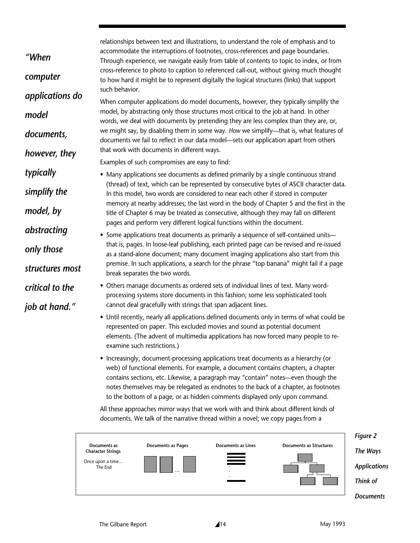relationships between text and illustrations, to understand the role of emphasis and to accommodate the interruptions of footnotes, cross-references and page boundaries. Through experience, we navigate easily from table of contents to topic to index, or from cross-reference to photo to caption to referenced call-out, without giving much thought to how hard it might be to represent digitally the logical structures (links) that support such behavior.

When computer applications do model documents, however, they typically simplify the model, by abstracting only those structures most critical to the job at hand. In other words, we deal with documents by pretending they are less complex than they are, or, we might say, by disabling them in some way. *How* we simplify—that is, what features of documents we fail to reflect in our data model—sets our application apart from others that work with documents in different ways.

Examples of such compromises are easy to find:

*"When*

*model*

*documents,*

*typically*

*simplify the*

*model, by*

*abstracting*

*only those*

*structures most*

*critical to the*

*job at hand."*

*however, they*

*computer*

*applications do*

- Many applications see documents as defined primarily by a single continuous strand (thread) of text, which can be represented by consecutive bytes of ASCII character data. In this model, two words are considered to near each other if stored in computer memory at nearby addresses; the last word in the body of Chapter 5 and the first in the title of Chapter 6 may be treated as consecutive, although they may fall on different pages and perform very different logical functions within the document.
- Some applications treat documents as primarily a sequence of self-contained units that is, pages. In loose-leaf publishing, each printed page can be revised and re-issued as a stand-alone document; many document imaging applications also start from this premise. In such applications, a search for the phrase "top banana" might fail if a page break separates the two words.
	- Others manage documents as ordered sets of individual lines of text. Many wordprocessing systems store documents in this fashion; some less sophisticated tools cannot deal gracefully with strings that span adjacent lines.
	- Until recently, nearly all applications defined documents only in terms of what could be represented on paper. This excluded movies and sound as potential document elements. (The advent of multimedia applications has now forced many people to reexamine such restrictions.)
	- Increasingly, document-processing applications treat documents as a hierarchy (or web) of functional elements. For example, a document contains chapters, a chapter contains sections, etc. Likewise, a paragraph may "contain" notes—even though the notes themselves may be relegated as endnotes to the back of a chapter, as footnotes to the bottom of a page, or as hidden comments displayed only upon command.

All these approaches mirror ways that we work with and think about different kinds of documents. We talk of the narrative thread within a novel; we copy pages from a



The Gilbane Report 14 14 May 1993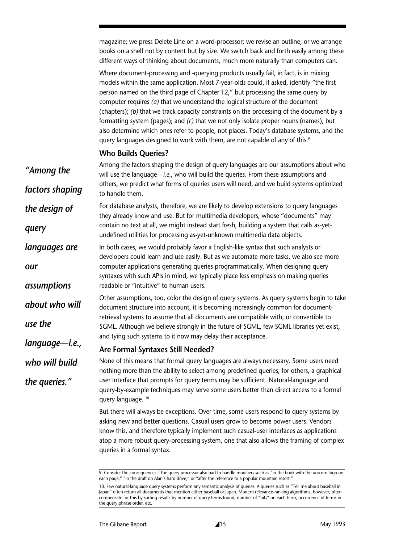magazine; we press Delete Line on a word-processor; we revise an outline; or we arrange books on a shelf not by content but by size. We switch back and forth easily among these different ways of thinking about documents, much more naturally than computers can.

Where document-processing and -querying products usually fail, in fact, is in mixing models within the same application. Most 7-year-olds could, if asked, identify "the first person named on the third page of Chapter 12," but processing the same query by computer requires *(a)* that we understand the logical structure of the document (chapters); *(b)* that we track capacity constraints on the processing of the document by a formatting system (pages); and *(c)* that we not only isolate proper nouns (names), but also determine which ones refer to people, not places. Today's database systems, and the query languages designed to work with them, are not capable of any of this.<sup>9</sup>

#### **Who Builds Queries?**

Among the factors shaping the design of query languages are our assumptions about who will use the language—*i.e*., who will build the queries. From these assumptions and others, we predict what forms of queries users will need, and we build systems optimized to handle them. For database analysts, therefore, we are likely to develop extensions to query languages they already know and use. But for multimedia developers, whose "documents" may contain no text at all, we might instead start fresh, building a system that calls as-yetundefined utilities for processing as-yet-unknown multimedia data objects. In both cases, we would probably favor a English-like syntax that such analysts or developers could learn and use easily. But as we automate more tasks, we also see more computer applications generating queries programmatically. When designing query syntaxes with such APIs in mind, we typically place less emphasis on making queries readable or "intuitive" to human users. Other assumptions, too, color the design of query systems. As query systems begin to take document structure into account, it is becoming increasingly common for documentretrieval systems to assume that all documents are compatible with, or convertible to SGML. Although we believe strongly in the future of SGML, few SGML libraries yet exist, and tying such systems to it now may delay their acceptance. **Are Formal Syntaxes Still Needed?** None of this means that formal query languages are always necessary. Some users need nothing more than the ability to select among predefined queries; for others, a graphical user interface that prompts for query terms may be sufficient. Natural-language and query-by-example techniques may serve some users better than direct access to a formal query language. 10 But there will always be exceptions. Over time, some users respond to query systems by *"Among the factors shaping the design of query languages are our assumptions about who will use the language—i.e., who will build the queries."*

asking new and better questions. Casual users grow to become power users. Vendors know this, and therefore typically implement such casual-user interfaces as applications atop a more robust query-processing system, one that also allows the framing of complex queries in a formal syntax.

<sup>9.</sup> Consider the consequences if the query processor also had to handle modifiers such as "in the book with the unicorn logo on each page," "in the draft on Alan's hard drive," or "after the reference to a popular mountain resort."

<sup>10.</sup> Few natural-language query systems perform any semantic analysis of queries. A queries such as "Tell me about baseball in Japan" often return all documents that mention either baseball or Japan. Modern relevance-ranking algorithms, however, often compensate for this by sorting results by number of query terms found, number of "hits" on each term, occurrence of terms in the query phrase order, etc.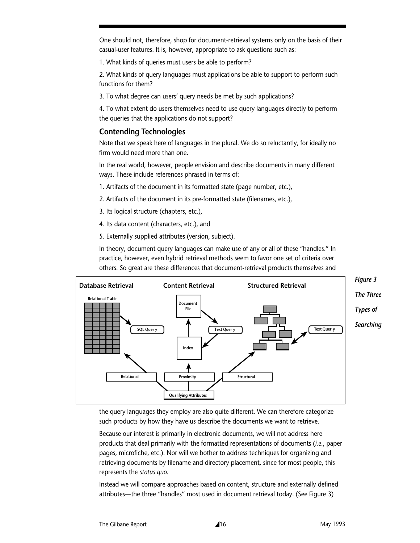One should not, therefore, shop for document-retrieval systems only on the basis of their casual-user features. It is, however, appropriate to ask questions such as:

1. What kinds of queries must users be able to perform?

2. What kinds of query languages must applications be able to support to perform such functions for them?

3. To what degree can users' query needs be met by such applications?

4. To what extent do users themselves need to use query languages directly to perform the queries that the applications do not support?

### **Contending Technologies**

Note that we speak here of languages in the plural. We do so reluctantly, for ideally no firm would need more than one.

In the real world, however, people envision and describe documents in many different ways. These include references phrased in terms of:

- 1. Artifacts of the document in its formatted state (page number, etc.),
- 2. Artifacts of the document in its pre-formatted state (filenames, etc.),
- 3. Its logical structure (chapters, etc.),
- 4. Its data content (characters, etc.), and
- 5. Externally supplied attributes (version, subject).

In theory, document query languages can make use of any or all of these "handles." In practice, however, even hybrid retrieval methods seem to favor one set of criteria over others. So great are these differences that document-retrieval products themselves and



the query languages they employ are also quite different. We can therefore categorize such products by how they have us describe the documents we want to retrieve.

Because our interest is primarily in electronic documents, we will not address here products that deal primarily with the formatted representations of documents (*i.e*., paper pages, microfiche, etc.). Nor will we bother to address techniques for organizing and retrieving documents by filename and directory placement, since for most people, this represents the *status quo*.

Instead we will compare approaches based on content, structure and externally defined attributes—the three "handles" most used in document retrieval today. (See Figure 3)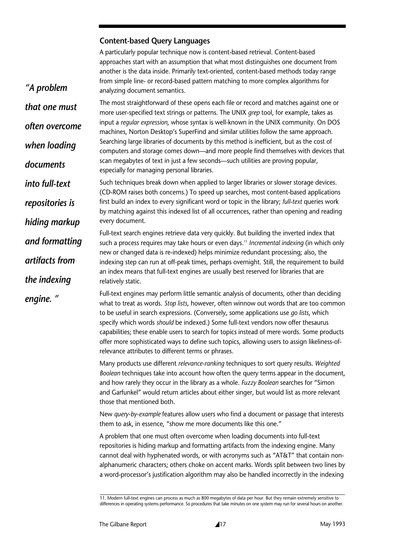### **Content-based Query Languages**

*"A problem*

*into full-text*

*and formatting*

*artifacts from*

*the indexing*

*engine. "*

A particularly popular technique now is content-based retrieval. Content-based approaches start with an assumption that what most distinguishes one document from another is the data inside. Primarily text-oriented, content-based methods today range from simple line- or record-based pattern matching to more complex algorithms for analyzing document semantics.

*that one must often overcome when loading documents*  The most straightforward of these opens each file or record and matches against one or more user-specified text strings or patterns. The UNIX *grep* tool, for example, takes as input a *regular expression*, whose syntax is well-known in the UNIX community. On DOS machines, Norton Desktop's SuperFind and similar utilities follow the same approach. Searching large libraries of documents by this method is inefficient, but as the cost of computers and storage comes down—and more people find themselves with devices that scan megabytes of text in just a few seconds—such utilities are proving popular, especially for managing personal libraries.

*repositories is hiding markup* Such techniques break down when applied to larger libraries or slower storage devices. (CD-ROM raises both concerns.) To speed up searches, most content-based applications first build an index to every significant word or topic in the library; *full-text* queries work by matching against this indexed list of all occurrences, rather than opening and reading every document.

> Full-text search engines retrieve data very quickly. But building the inverted index that such a process requires may take hours or even days.<sup>11</sup> *Incremental indexing* (in which only new or changed data is re-indexed) helps minimize redundant processing; also, the indexing step can run at off-peak times, perhaps overnight. Still, the requirement to build an index means that full-text engines are usually best reserved for libraries that are relatively static.

Full-text engines may perform little semantic analysis of documents, other than deciding what to treat as words. *Stop lists*, however, often winnow out words that are too common to be useful in search expressions. (Conversely, some applications use *go lists*, which specify which words *should* be indexed.) Some full-text vendors now offer thesaurus capabilities; these enable users to search for topics instead of mere words. Some products offer more sophisticated ways to define such topics, allowing users to assign likeliness-ofrelevance attributes to different terms or phrases.

Many products use different *relevance-ranking* techniques to sort query results. *Weighted Boolean* techniques take into account how often the query terms appear in the document, and how rarely they occur in the library as a whole. *Fuzzy Boolean* searches for "Simon and Garfunkel" would return articles about either singer, but would list as more relevant those that mentioned both.

New *query-by-example* features allow users who find a document or passage that interests them to ask, in essence, "show me more documents like this one."

A problem that one must often overcome when loading documents into full-text repositories is hiding markup and formatting artifacts from the indexing engine. Many cannot deal with hyphenated words, or with acronyms such as "AT&T" that contain nonalphanumeric characters; others choke on accent marks. Words split between two lines by a word-processor's justification algorithm may also be handled incorrectly in the indexing

<sup>11.</sup> Modern full-text engines can process as much as 800 megabytes of data per hour. But they remain extremely sensitive to differences in operating systems performance. So procedures that take minutes on one system may run for several hours on another.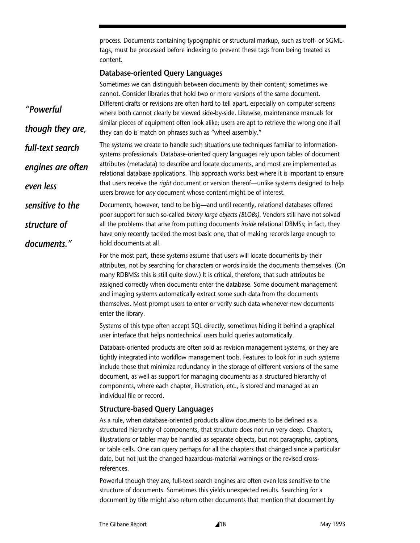process. Documents containing typographic or structural markup, such as troff- or SGMLtags, must be processed before indexing to prevent these tags from being treated as content.

#### **Database-oriented Query Languages**

|                   | Sometimes we can distinguish between documents by their content; sometimes we<br>cannot. Consider libraries that hold two or more versions of the same document.                   |  |  |
|-------------------|------------------------------------------------------------------------------------------------------------------------------------------------------------------------------------|--|--|
| "Powerful         | Different drafts or revisions are often hard to tell apart, especially on computer screens<br>where both cannot clearly be viewed side-by-side. Likewise, maintenance manuals for  |  |  |
| though they are,  | similar pieces of equipment often look alike; users are apt to retrieve the wrong one if all<br>they can do is match on phrases such as "wheel assembly."                          |  |  |
| full-text search  | The systems we create to handle such situations use techniques familiar to information-<br>systems professionals. Database-oriented query languages rely upon tables of document   |  |  |
| engines are often | attributes (metadata) to describe and locate documents, and most are implemented as<br>relational database applications. This approach works best where it is important to ensure  |  |  |
| even less         | that users receive the right document or version thereof—unlike systems designed to help<br>users browse for any document whose content might be of interest.                      |  |  |
| sensitive to the  | Documents, however, tend to be big-and until recently, relational databases offered<br>poor support for such so-called binary large objects (BLOBs). Vendors still have not solved |  |  |
| structure of      | all the problems that arise from putting documents inside relational DBMSs; in fact, they<br>have only recently tackled the most basic one, that of making records large enough to |  |  |
| documents."       | hold documents at all.                                                                                                                                                             |  |  |
|                   | For the most part, these systems assume that users will locate documents by their                                                                                                  |  |  |

attributes, not by searching for characters or words inside the documents themselves. (On many RDBMSs this is still quite slow.) It is critical, therefore, that such attributes be assigned correctly when documents enter the database. Some document management and imaging systems automatically extract some such data from the documents themselves. Most prompt users to enter or verify such data whenever new documents enter the library.

Systems of this type often accept SQL directly, sometimes hiding it behind a graphical user interface that helps nontechnical users build queries automatically.

Database-oriented products are often sold as revision management systems, or they are tightly integrated into workflow management tools. Features to look for in such systems include those that minimize redundancy in the storage of different versions of the same document, as well as support for managing documents as a structured hierarchy of components, where each chapter, illustration, etc., is stored and managed as an individual file or record.

#### **Structure-based Query Languages**

As a rule, when database-oriented products allow documents to be defined as a structured hierarchy of components, that structure does not run very deep. Chapters, illustrations or tables may be handled as separate objects, but not paragraphs, captions, or table cells. One can query perhaps for all the chapters that changed since a particular date, but not just the changed hazardous-material warnings or the revised crossreferences.

Powerful though they are, full-text search engines are often even less sensitive to the structure of documents. Sometimes this yields unexpected results. Searching for a document by title might also return other documents that mention that document by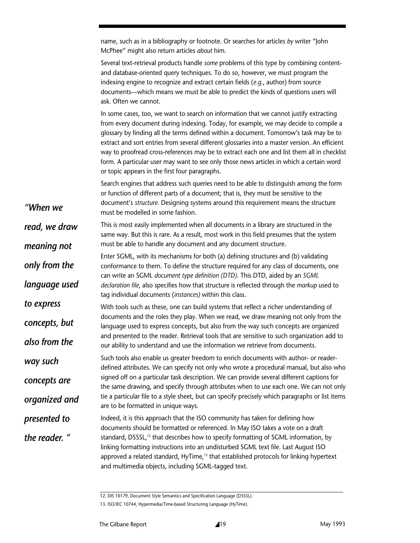name, such as in a bibliography or footnote. Or searches for articles *by* writer "John McPhee" might also return articles *about* him.

Several text-retrieval products handle *some* problems of this type by combining contentand database-oriented query techniques. To do so, however, we must program the indexing engine to recognize and extract certain fields (*e.g.*, author) from source documents—which means we must be able to predict the kinds of questions users will ask. Often we cannot.

In some cases, too, we want to search on information that we cannot justify extracting from every document during indexing. Today, for example, we may decide to compile a glossary by finding all the terms defined within a document. Tomorrow's task may be to extract and sort entries from several different glossaries into a master version. An efficient way to proofread cross-references may be to extract each one and list them all in checklist form. A particular user may want to see only those news articles in which a certain word or topic appears in the first four paragraphs.

Search engines that address such queries need to be able to distinguish among the form or function of different parts of a document; that is, they must be sensitive to the document's *structure*. Designing systems around this requirement means the structure must be modelled in some fashion.

This is most easily implemented when all documents in a library are structured in the same way. But this is rare. As a result, most work in this field presumes that the system must be able to handle any document and any document structure. *read, we draw meaning not*

Enter SGML, with its mechanisms for both (a) defining structures and (b) validating conformance to them. To define the structure required for any class of documents, one can write an SGML *document type definition (DTD)*. This DTD, aided by an *SGML declaration file*, also specifies how that structure is reflected through the *markup* used to tag individual documents (*instances)* within this class. *only from the language used*

With tools such as these, one can build systems that reflect a richer understanding of documents and the roles they play. When we read, we draw meaning not only from the language used to express concepts, but also from the way such concepts are organized and presented to the reader. Retrieval tools that are sensitive to such organization add to our ability to understand and use the information we retrieve from documents. *concepts, but also from the*

Such tools also enable us greater freedom to enrich documents with author- or readerdefined attributes. We can specify not only who wrote a procedural manual, but also who signed off on a particular task description. We can provide several different captions for the same drawing, and specify through attributes when to use each one. We can not only tie a particular file to a style sheet, but can specify precisely which paragraphs or list items are to be formatted in unique ways. *way such concepts are organized and*

Indeed, it is this approach that the ISO community has taken for defining how documents should be formatted or referenced. In May ISO takes a vote on a draft standard, DSSSL,<sup>12</sup> that describes how to specify formatting of SGML information, by linking formatting instructions into an undisturbed SGML text file. Last August ISO approved a related standard, HyTime,<sup>13</sup> that established protocols for linking hypertext and multimedia objects, including SGML-tagged text. *presented to the reader. "*

12. DIS 10179, Document Style Semantics and Specification Language (DSSSL).

*"When we*

*to express*

<sup>13.</sup> ISO/IEC 10744, Hypermedia/Time-based Structuring Language (HyTime).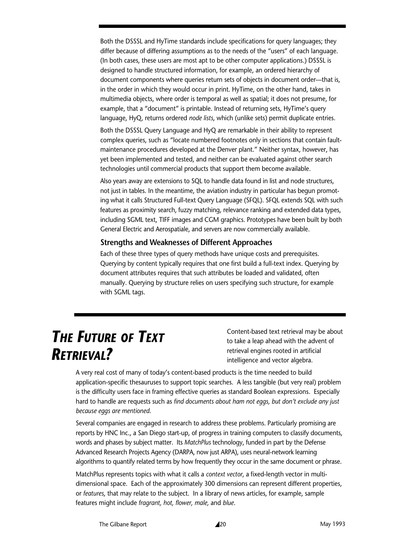Both the DSSSL and HyTime standards include specifications for query languages; they differ because of differing assumptions as to the needs of the "users" of each language. (In both cases, these users are most apt to be other computer applications.) DSSSL is designed to handle structured information, for example, an ordered hierarchy of document components where queries return sets of objects in document order—that is, in the order in which they would occur in print. HyTime, on the other hand, takes in multimedia objects, where order is temporal as well as spatial; it does not presume, for example, that a "document" is printable. Instead of returning sets, HyTime's query language, HyQ, returns ordered *node lists*, which (unlike sets) permit duplicate entries.

Both the DSSSL Query Language and HyQ are remarkable in their ability to represent complex queries, such as "locate numbered footnotes only in sections that contain faultmaintenance procedures developed at the Denver plant." Neither syntax, however, has yet been implemented and tested, and neither can be evaluated against other search technologies until commercial products that support them become available.

Also years away are extensions to SQL to handle data found in list and node structures, not just in tables. In the meantime, the aviation industry in particular has begun promoting what it calls Structured Full-text Query Language (SFQL). SFQL extends SQL with such features as proximity search, fuzzy matching, relevance ranking and extended data types, including SGML text, TIFF images and CGM graphics. Prototypes have been built by both General Electric and Aerospatiale, and servers are now commercially available.

#### **Strengths and Weaknesses of Different Approaches**

Each of these three types of query methods have unique costs and prerequisites. Querying by content typically requires that one first build a full-text index. Querying by document attributes requires that such attributes be loaded and validated, often manually. Querying by structure relies on users specifying such structure, for example with SGML tags.

# *THE FUTURE OF TEXT RETRIEVAL?*

Content-based text retrieval may be about to take a leap ahead with the advent of retrieval engines rooted in artificial intelligence and vector algebra.

A very real cost of many of today's content-based products is the time needed to build application-specific thesauruses to support topic searches. A less tangible (but very real) problem is the difficulty users face in framing effective queries as standard Boolean expressions. Especially hard to handle are requests such as *find documents about ham not eggs, but don't exclude any just because eggs are mentioned*.

Several companies are engaged in research to address these problems. Particularly promising are reports by HNC Inc., a San Diego start-up, of progress in training computers to classify documents, words and phases by subject matter. Its *MatchPlus* technology, funded in part by the Defense Advanced Research Projects Agency (DARPA, now just ARPA), uses neural-network learning algorithms to quantify related terms by how frequently they occur in the same document or phrase.

MatchPlus represents topics with what it calls a *context vector*, a fixed-length vector in multidimensional space. Each of the approximately 300 dimensions can represent different properties, or *features*, that may relate to the subject. In a library of news articles, for example, sample features might include *fragrant, hot, flower, male,* and *blue*.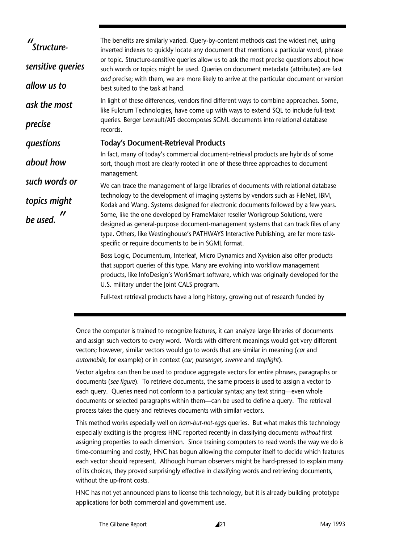| "Structure-       | The benefits are similarly varied. Query-by-content methods cast the widest net, using<br>inverted indexes to quickly locate any document that mentions a particular word, phrase                                                                                                                                    |  |  |  |
|-------------------|----------------------------------------------------------------------------------------------------------------------------------------------------------------------------------------------------------------------------------------------------------------------------------------------------------------------|--|--|--|
| sensitive queries | or topic. Structure-sensitive queries allow us to ask the most precise questions about how<br>such words or topics might be used. Queries on document metadata (attributes) are fast<br>and precise; with them, we are more likely to arrive at the particular document or version                                   |  |  |  |
| allow us to       | best suited to the task at hand.                                                                                                                                                                                                                                                                                     |  |  |  |
| ask the most      | In light of these differences, vendors find different ways to combine approaches. Some,<br>like Fulcrum Technologies, have come up with ways to extend SQL to include full-text                                                                                                                                      |  |  |  |
| precise           | queries. Berger Levrault/AIS decomposes SGML documents into relational database<br>records.                                                                                                                                                                                                                          |  |  |  |
| questions         | <b>Today's Document-Retrieval Products</b>                                                                                                                                                                                                                                                                           |  |  |  |
| about how         | In fact, many of today's commercial document-retrieval products are hybrids of some<br>sort, though most are clearly rooted in one of these three approaches to document<br>management.                                                                                                                              |  |  |  |
| such words or     | We can trace the management of large libraries of documents with relational database                                                                                                                                                                                                                                 |  |  |  |
| topics might      | technology to the development of imaging systems by vendors such as FileNet, IBM,<br>Kodak and Wang. Systems designed for electronic documents followed by a few years.                                                                                                                                              |  |  |  |
| be used.          | Some, like the one developed by FrameMaker reseller Workgroup Solutions, were<br>designed as general-purpose document-management systems that can track files of any<br>type. Others, like Westinghouse's PATHWAYS Interactive Publishing, are far more task-<br>specific or require documents to be in SGML format. |  |  |  |
|                   | Boss Logic, Documentum, Interleaf, Micro Dynamics and Xyvision also offer products<br>that support queries of this type. Many are evolving into workflow management<br>products, like InfoDesign's WorkSmart software, which was originally developed for the<br>U.S. military under the Joint CALS program.         |  |  |  |
|                   | Full-text retrieval products have a long history, growing out of research funded by                                                                                                                                                                                                                                  |  |  |  |

Once the computer is trained to recognize features, it can analyze large libraries of documents and assign such vectors to every word. Words with different meanings would get very different vectors; however, similar vectors would go to words that are similar in meaning (*car* and *automobile*, for example) or in context (*car, passenger, swerve* and *stoplight*).

Vector algebra can then be used to produce aggregate vectors for entire phrases, paragraphs or documents (*see figure*). To retrieve documents, the same process is used to assign a vector to each query. Queries need not conform to a particular syntax; any text string—even whole documents or selected paragraphs within them—can be used to define a query. The retrieval process takes the query and retrieves documents with similar vectors.

This method works especially well on *ham-but-not-eggs* queries. But what makes this technology especially exciting is the progress HNC reported recently in classifying documents *without* first assigning properties to each dimension. Since training computers to read words the way we do is time-consuming and costly, HNC has begun allowing the computer itself to decide which features each vector should represent. Although human observers might be hard-pressed to explain many of its choices, they proved surprisingly effective in classifying words and retrieving documents, without the up-front costs.

HNC has not yet announced plans to license this technology, but it is already building prototype applications for both commercial and government use.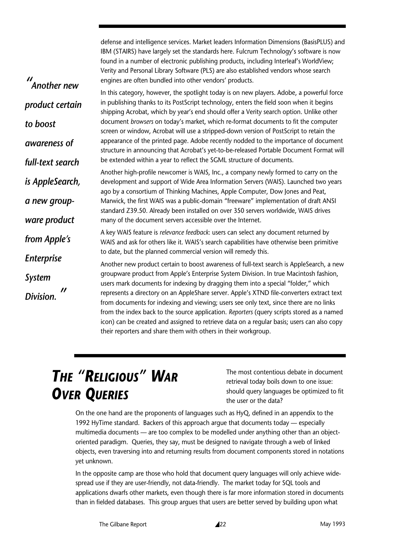defense and intelligence services. Market leaders Information Dimensions (BasisPLUS) and IBM (STAIRS) have largely set the standards here. Fulcrum Technology's software is now found in a number of electronic publishing products, including Interleaf's WorldView; Verity and Personal Library Software (PLS) are also established vendors whose search engines are often bundled into other vendors' products.

In this category, however, the spotlight today is on new players. Adobe, a powerful force in publishing thanks to its PostScript technology, enters the field soon when it begins shipping Acrobat, which by year's end should offer a Verity search option. Unlike other document *browsers* on today's market, which re-format documents to fit the computer screen or window, Acrobat will use a stripped-down version of PostScript to retain the appearance of the printed page. Adobe recently nodded to the importance of document structure in announcing that Acrobat's yet-to-be-released Portable Document Format will be extended within a year to reflect the SGML structure of documents. Another high-profile newcomer is WAIS, Inc., a company newly formed to carry on the development and support of Wide Area Information Servers (WAIS). Launched two years ago by a consortium of Thinking Machines, Apple Computer, Dow Jones and Peat, Marwick, the first WAIS was a public-domain "freeware" implementation of draft ANSI standard Z39.50. Already been installed on over 350 servers worldwide, WAIS drives many of the document servers accessible over the Internet. A key WAIS feature is *relevance feedback*: users can select any document returned by WAIS and ask for others like it. WAIS's search capabilities have otherwise been primitive to date, but the planned commercial version will remedy this. Another new product certain to boost awareness of full-text search is AppleSearch, a new groupware product from Apple's Enterprise System Division. In true Macintosh fashion, users mark documents for indexing by dragging them into a special "folder," which represents a directory on an AppleShare server. Apple's XTND file-converters extract text from documents for indexing and viewing; users see only text, since there are no links from the index back to the source application. *Reporters* (query scripts stored as a named *" Another new product certain to boost awareness of full-text search is AppleSearch, a new groupware product from Apple's Enterprise System Division. "*

their reporters and share them with others in their workgroup.

# *THE "RELIGIOUS" WAR OVER QUERIES*

The most contentious debate in document retrieval today boils down to one issue: should query languages be optimized to fit the user or the data?

On the one hand are the proponents of languages such as HyQ, defined in an appendix to the 1992 HyTime standard. Backers of this approach argue that documents today — especially multimedia documents — are too complex to be modelled under anything other than an objectoriented paradigm. Queries, they say, must be designed to navigate through a web of linked objects, even traversing into and returning results from document components stored in notations yet unknown.

icon) can be created and assigned to retrieve data on a regular basis; users can also copy

In the opposite camp are those who hold that document query languages will only achieve widespread use if they are user-friendly, not data-friendly. The market today for SQL tools and applications dwarfs other markets, even though there is far more information stored in documents than in fielded databases. This group argues that users are better served by building upon what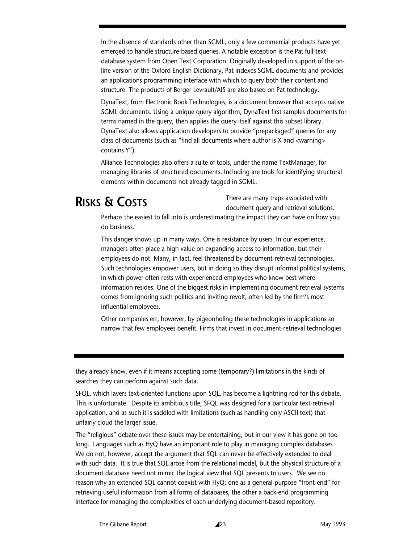In the absence of standards other than SGML, only a few commercial products have yet emerged to handle structure-based queries. A notable exception is the Pat full-text database system from Open Text Corporation. Originally developed in support of the online version of the Oxford English Dictionary, Pat indexes SGML documents and provides an applications programming interface with which to query both their content and structure. The products of Berger Levrault/AIS are also based on Pat technology.

DynaText, from Electronic Book Technologies, is a document browser that accepts native SGML documents. Using a unique query algorithm, DynaText first samples documents for terms named in the query, then applies the query itself against this subset library. DynaText also allows application developers to provide "prepackaged" queries for any class of documents (such as "find all documents where author is X and <warning> contains Y").

Alliance Technologies also offers a suite of tools, under the name TextManager, for managing libraries of structured documents. Including are tools for identifying structural elements within documents not already tagged in SGML.

# **RISKS & COSTS**

There are many traps associated with document query and retrieval solutions.

Perhaps the easiest to fall into is underestimating the impact they can have on how you do business.

This danger shows up in many ways. One is resistance by users. In our experience, managers often place a high value on expanding access to information, but their employees do not. Many, in fact, feel threatened by document-retrieval technologies. Such technologies empower users, but in doing so they disrupt informal political systems, in which power often rests with experienced employees who know best where information resides. One of the biggest risks in implementing document retrieval systems comes from ignoring such politics and inviting revolt, often led by the firm's most influential employees.

Other companies err, however, by pigeonholing these technologies in applications so narrow that few employees benefit. Firms that invest in document-retrieval technologies

they already know, even if it means accepting some (temporary?) limitations in the kinds of searches they can perform against such data.

SFQL, which layers text-oriented functions upon SQL, has become a lightning rod for this debate. This is unfortunate. Despite its ambitious title, SFQL was designed for a particular text-retrieval application, and as such it is saddled with limitations (such as handling only ASCII text) that unfairly cloud the larger issue.

The "religious" debate over these issues may be entertaining, but in our view it has gone on too long. Languages such as HyQ have an important role to play in managing complex databases. We do not, however, accept the argument that SQL can never be effectively extended to deal with such data. It is true that SQL arose from the relational model, but the physical structure of a document database need not mimic the logical view that SQL presents to users. We see no reason why an extended SQL cannot coexist with HyQ: one as a general-purpose "front-end" for retrieving useful information from all forms of databases, the other a back-end programming interface for managing the complexities of each underlying document-based repository.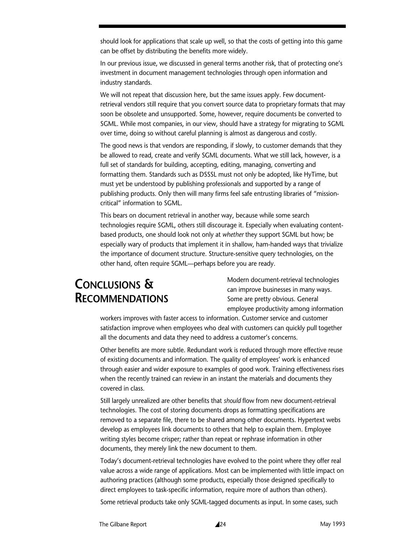should look for applications that scale up well, so that the costs of getting into this game can be offset by distributing the benefits more widely.

In our previous issue, we discussed in general terms another risk, that of protecting one's investment in document management technologies through open information and industry standards.

We will not repeat that discussion here, but the same issues apply. Few documentretrieval vendors still require that you convert source data to proprietary formats that may soon be obsolete and unsupported. Some, however, require documents be converted to SGML. While most companies, in our view, should have a strategy for migrating to SGML over time, doing so without careful planning is almost as dangerous and costly.

The good news is that vendors are responding, if slowly, to customer demands that they be allowed to read, create and verify SGML documents. What we still lack, however, is a full set of standards for building, accepting, editing, managing, converting and formatting them. Standards such as DSSSL must not only be adopted, like HyTime, but must yet be understood by publishing professionals and supported by a range of publishing products. Only then will many firms feel safe entrusting libraries of "missioncritical" information to SGML.

This bears on document retrieval in another way, because while some search technologies require SGML, others still discourage it. Especially when evaluating contentbased products, one should look not only at *whether* they support SGML but how; be especially wary of products that implement it in shallow, ham-handed ways that trivialize the importance of document structure. Structure-sensitive query technologies, on the other hand, often require SGML—perhaps before you are ready.

## **CONCLUSIONS & RECOMMENDATIONS**

Modern document-retrieval technologies can improve businesses in many ways. Some are pretty obvious. General employee productivity among information

workers improves with faster access to information. Customer service and customer satisfaction improve when employees who deal with customers can quickly pull together all the documents and data they need to address a customer's concerns.

Other benefits are more subtle. Redundant work is reduced through more effective reuse of existing documents and information. The quality of employees' work is enhanced through easier and wider exposure to examples of good work. Training effectiveness rises when the recently trained can review in an instant the materials and documents they covered in class.

Still largely unrealized are other benefits that *should* flow from new document-retrieval technologies. The cost of storing documents drops as formatting specifications are removed to a separate file, there to be shared among other documents. Hypertext webs develop as employees link documents to others that help to explain them. Employee writing styles become crisper; rather than repeat or rephrase information in other documents, they merely link the new document to them.

Today's document-retrieval technologies have evolved to the point where they offer real value across a wide range of applications. Most can be implemented with little impact on authoring practices (although some products, especially those designed specifically to direct employees to task-specific information, require more of authors than others).

Some retrieval products take only SGML-tagged documents as input. In some cases, such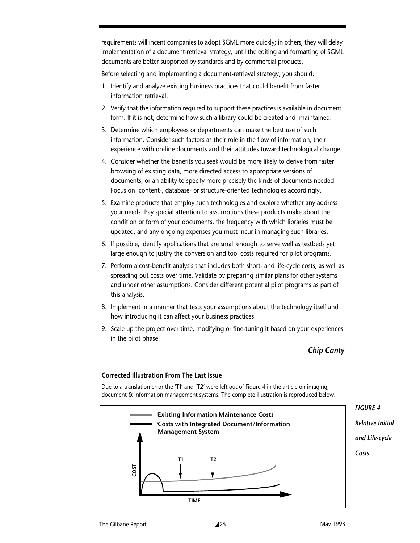requirements will incent companies to adopt SGML more quickly; in others, they will delay implementation of a document-retrieval strategy, until the editing and formatting of SGML documents are better supported by standards and by commercial products.

Before selecting and implementing a document-retrieval strategy, you should:

- 1. Identify and analyze existing business practices that could benefit from faster information retrieval.
- 2. Verify that the information required to support these practices is available in document form. If it is not, determine how such a library could be created and maintained.
- 3. Determine which employees or departments can make the best use of such information. Consider such factors as their role in the flow of information, their experience with on-line documents and their attitudes toward technological change.
- 4. Consider whether the benefits you seek would be more likely to derive from faster browsing of existing data, more directed access to appropriate versions of documents, or an ability to specify more precisely the kinds of documents needed. Focus on content-, database- or structure-oriented technologies accordingly.
- 5. Examine products that employ such technologies and explore whether any address your needs. Pay special attention to assumptions these products make about the condition or form of your documents, the frequency with which libraries must be updated, and any ongoing expenses you must incur in managing such libraries.
- 6. If possible, identify applications that are small enough to serve well as testbeds yet large enough to justify the conversion and tool costs required for pilot programs.
- 7. Perform a cost-benefit analysis that includes both short- and life-cycle costs, as well as spreading out costs over time. Validate by preparing similar plans for other systems and under other assumptions. Consider different potential pilot programs as part of this analysis.
- 8. Implement in a manner that tests your assumptions about the technology itself and how introducing it can affect your business practices.
- 9. Scale up the project over time, modifying or fine-tuning it based on your experiences in the pilot phase.

*Chip Canty*

#### **Corrected Illustration From The Last Issue**

Due to a translation error the '**TI**' and '**T2**' were left out of Figure 4 in the article on imaging, document & information management systems. The complete illustration is reproduced below.

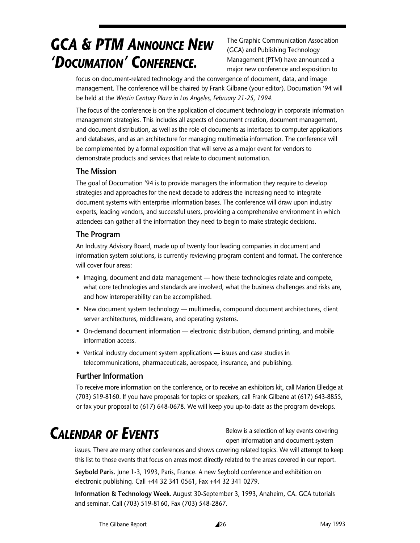# *GCA & PTM ANNOUNCE NEW 'DOCUMATION' CONFERENCE.*

The Graphic Communication Association (GCA) and Publishing Technology Management (PTM) have announced a major new conference and exposition to

focus on document-related technology and the convergence of document, data, and image management. The conference will be chaired by Frank Gilbane (your editor). Documation '94 will be held at the *Westin Century Plaza in Los Angeles, February 21-25, 1994.*

The focus of the conference is on the application of document technology in corporate information management strategies. This includes all aspects of document creation, document management, and document distribution, as well as the role of documents as interfaces to computer applications and databases, and as an architecture for managing multimedia information. The conference will be complemented by a formal exposition that will serve as a major event for vendors to demonstrate products and services that relate to document automation.

### **The Mission**

The goal of Documation '94 is to provide managers the information they require to develop strategies and approaches for the next decade to address the increasing need to integrate document systems with enterprise information bases. The conference will draw upon industry experts, leading vendors, and successful users, providing a comprehensive environment in which attendees can gather all the information they need to begin to make strategic decisions.

### **The Program**

An Industry Advisory Board, made up of twenty four leading companies in document and information system solutions, is currently reviewing program content and format. The conference will cover four areas:

- Imaging, document and data management how these technologies relate and compete, what core technologies and standards are involved, what the business challenges and risks are, and how interoperability can be accomplished.
- New document system technology multimedia, compound document architectures, client server architectures, middleware, and operating systems.
- On-demand document information electronic distribution, demand printing, and mobile information access.
- Vertical industry document system applications issues and case studies in telecommunications, pharmaceuticals, aerospace, insurance, and publishing.

### **Further Information**

To receive more information on the conference, or to receive an exhibitors kit, call Marion Elledge at (703) 519-8160. If you have proposals for topics or speakers, call Frank Gilbane at (617) 643-8855, or fax your proposal to (617) 648-0678. We will keep you up-to-date as the program develops.

# *CALENDAR OF EVENTS*

Below is a selection of key events covering open information and document system

issues. There are many other conferences and shows covering related topics. We will attempt to keep this list to those events that focus on areas most directly related to the areas covered in our report.

**Seybold Paris.** June 1-3, 1993, Paris, France. A new Seybold conference and exhibition on electronic publishing. Call +44 32 341 0561, Fax +44 32 341 0279.

**Information & Technology Week**. August 30-September 3, 1993, Anaheim, CA. GCA tutorials and seminar. Call (703) 519-8160, Fax (703) 548-2867.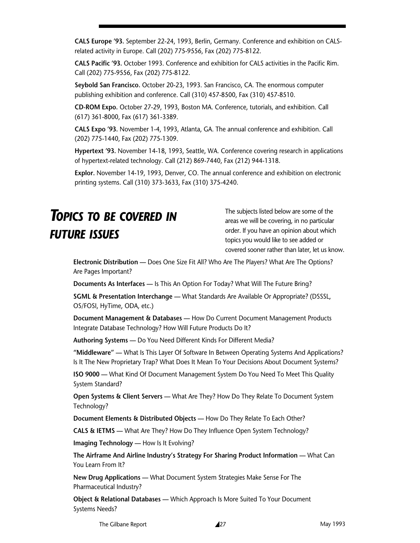**CALS Europe '93.** September 22-24, 1993, Berlin, Germany. Conference and exhibition on CALSrelated activity in Europe. Call (202) 775-9556, Fax (202) 775-8122.

**CALS Pacific '93.** October 1993. Conference and exhibition for CALS activities in the Pacific Rim. Call (202) 775-9556, Fax (202) 775-8122.

**Seybold San Francisco.** October 20-23, 1993. San Francisco, CA. The enormous computer publishing exhibition and conference. Call (310) 457-8500, Fax (310) 457-8510.

**CD-ROM Expo.** October 27-29, 1993, Boston MA. Conference, tutorials, and exhibition. Call (617) 361-8000, Fax (617) 361-3389.

**CALS Expo '93.** November 1-4, 1993, Atlanta, GA. The annual conference and exhibition. Call (202) 775-1440, Fax (202) 775-1309.

**Hypertext '93.** November 14-18, 1993, Seattle, WA. Conference covering research in applications of hypertext-related technology. Call (212) 869-7440, Fax (212) 944-1318.

**Explor.** November 14-19, 1993, Denver, CO. The annual conference and exhibition on electronic printing systems. Call (310) 373-3633, Fax (310) 375-4240.

# *TOPICS TO BE COVERED IN FUTURE ISSUES*

The subjects listed below are some of the areas we will be covering, in no particular order. If you have an opinion about which topics you would like to see added or covered sooner rather than later, let us know.

**Electronic Distribution —** Does One Size Fit All? Who Are The Players? What Are The Options? Are Pages Important?

**Documents As Interfaces —** Is This An Option For Today? What Will The Future Bring?

**SGML & Presentation Interchange —** What Standards Are Available Or Appropriate? (DSSSL, OS/FOSI, HyTime, ODA, etc.)

**Document Management & Databases —** How Do Current Document Management Products Integrate Database Technology? How Will Future Products Do It?

**Authoring Systems —** Do You Need Different Kinds For Different Media?

**"Middleware" —** What Is This Layer Of Software In Between Operating Systems And Applications? Is It The New Proprietary Trap? What Does It Mean To Your Decisions About Document Systems?

**ISO 9000 —** What Kind Of Document Management System Do You Need To Meet This Quality System Standard?

**Open Systems & Client Servers —** What Are They? How Do They Relate To Document System Technology?

**Document Elements & Distributed Objects —** How Do They Relate To Each Other?

**CALS & IETMS —** What Are They? How Do They Influence Open System Technology?

**Imaging Technology —** How Is It Evolving?

**The Airframe And Airline Industry's Strategy For Sharing Product Information —** What Can You Learn From It?

**New Drug Applications —** What Document System Strategies Make Sense For The Pharmaceutical Industry?

**Object & Relational Databases —** Which Approach Is More Suited To Your Document Systems Needs?